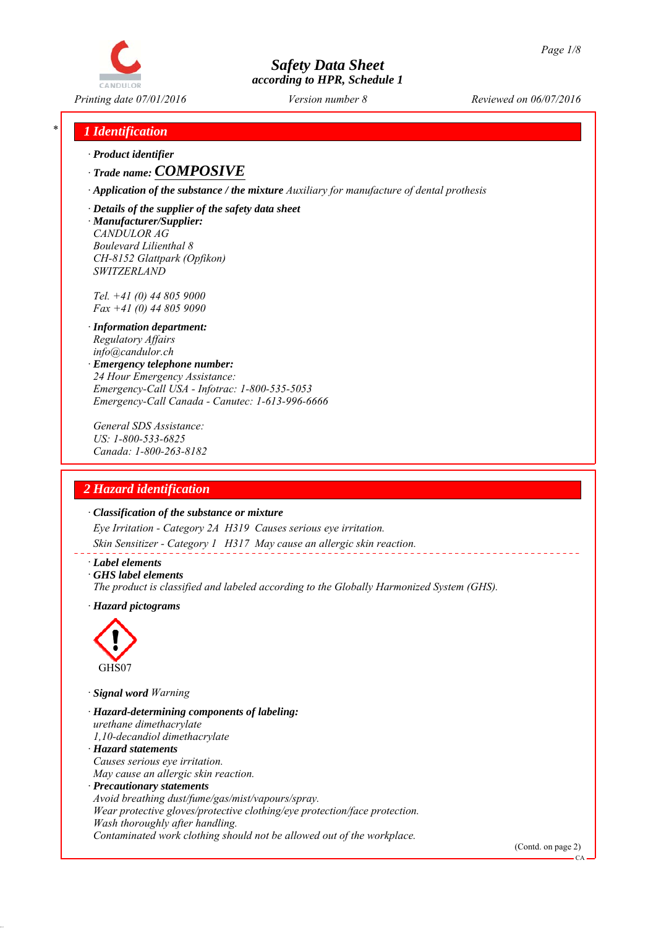

*Printing date 07/01/2016 Reviewed on 06/07/2016 Version number 8*

# *\* 1 Identification*

*∙ Product identifier*

*∙ Trade name: COMPOSIVE*

*∙ Application of the substance / the mixture Auxiliary for manufacture of dental prothesis*

*∙ Details of the supplier of the safety data sheet ∙ Manufacturer/Supplier: CANDULOR AG Boulevard Lilienthal 8 CH-8152 Glattpark (Opfikon) SWITZERLAND*

*Tel. +41 (0) 44 805 9000 Fax +41 (0) 44 805 9090*

- *∙ Information department: Regulatory Affairs info@candulor.ch*
- *∙ Emergency telephone number: 24 Hour Emergency Assistance: Emergency-Call USA - Infotrac: 1-800-535-5053 Emergency-Call Canada - Canutec: 1-613-996-6666*

*General SDS Assistance: US: 1-800-533-6825 Canada: 1-800-263-8182*

# *2 Hazard identification*

#### *∙ Classification of the substance or mixture*

*Eye Irritation - Category 2A H319 Causes serious eye irritation.*

*Skin Sensitizer - Category 1 H317 May cause an allergic skin reaction.*

*∙ Label elements*

*∙ GHS label elements*

*The product is classified and labeled according to the Globally Harmonized System (GHS).*

*∙ Hazard pictograms*



*∙ Signal word Warning*

*∙ Hazard-determining components of labeling: urethane dimethacrylate 1,10-decandiol dimethacrylate ∙ Hazard statements Causes serious eye irritation. May cause an allergic skin reaction. ∙ Precautionary statements Avoid breathing dust/fume/gas/mist/vapours/spray. Wear protective gloves/protective clothing/eye protection/face protection. Wash thoroughly after handling. Contaminated work clothing should not be allowed out of the workplace.*

(Contd. on page 2)

 $\mathcal{C}$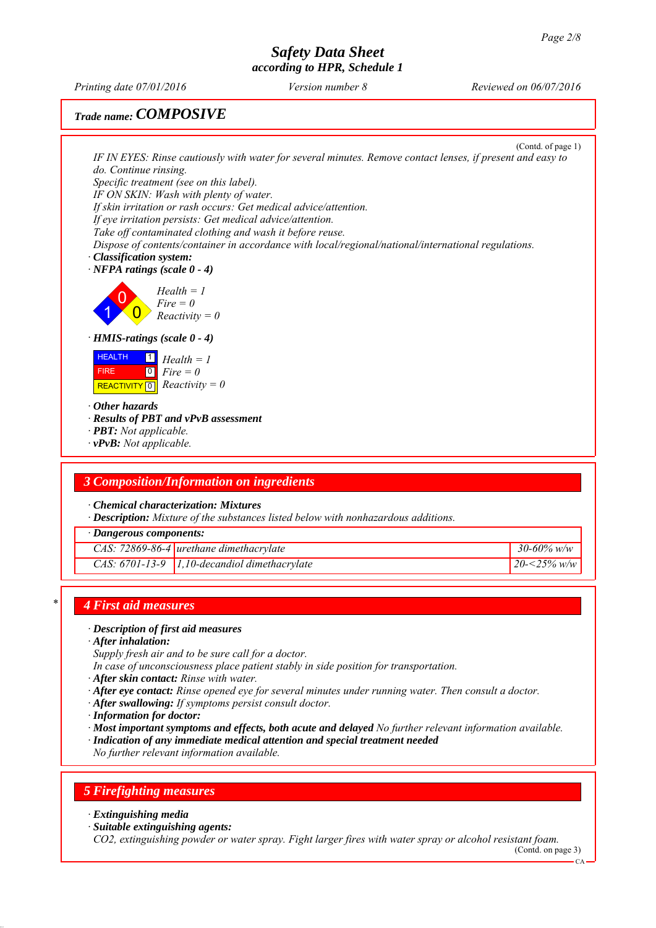*Printing date 07/01/2016 Reviewed on 06/07/2016 Version number 8*

# *Trade name: COMPOSIVE*

(Contd. of page 1) *IF IN EYES: Rinse cautiously with water for several minutes. Remove contact lenses, if present and easy to do. Continue rinsing. Specific treatment (see on this label). IF ON SKIN: Wash with plenty of water. If skin irritation or rash occurs: Get medical advice/attention. If eye irritation persists: Get medical advice/attention. Take off contaminated clothing and wash it before reuse. Dispose of contents/container in accordance with local/regional/national/international regulations. ∙ Classification system: ∙ NFPA ratings (scale 0 - 4)* 1 0  $\overline{\mathbf{0}}$ *Health = 1 Fire = 0 Reactivity = 0 ∙ HMIS-ratings (scale 0 - 4)* **HEALTH**  FIRE  $\boxed{\text{REACTIVITY} \boxed{0}}$  Reactivity = 0 1 *Health = 1* 0 *Fire = 0 ∙ Other hazards ∙ Results of PBT and vPvB assessment ∙ PBT: Not applicable. ∙ vPvB: Not applicable. 3 Composition/Information on ingredients ∙ Chemical characterization: Mixtures ∙ Description: Mixture of the substances listed below with nonhazardous additions. ∙ Dangerous components: CAS: 72869-86-4 urethane dimethacrylate 30-60% w/w CAS: 6701-13-9 1,10-decandiol dimethacrylate 20-<25% w/w*

# *\* 4 First aid measures*

### *∙ Description of first aid measures*

- *∙ After inhalation:*
- *Supply fresh air and to be sure call for a doctor.*
- *In case of unconsciousness place patient stably in side position for transportation.*
- *∙ After skin contact: Rinse with water.*
- *∙ After eye contact: Rinse opened eye for several minutes under running water. Then consult a doctor.*
- *∙ After swallowing: If symptoms persist consult doctor.*
- *∙ Information for doctor:*
- *∙ Most important symptoms and effects, both acute and delayed No further relevant information available.*
- *∙ Indication of any immediate medical attention and special treatment needed*
- *No further relevant information available.*

# *5 Firefighting measures*

- *∙ Extinguishing media*
- *∙ Suitable extinguishing agents:*

*CO2, extinguishing powder or water spray. Fight larger fires with water spray or alcohol resistant foam.* (Contd. on page 3)

CA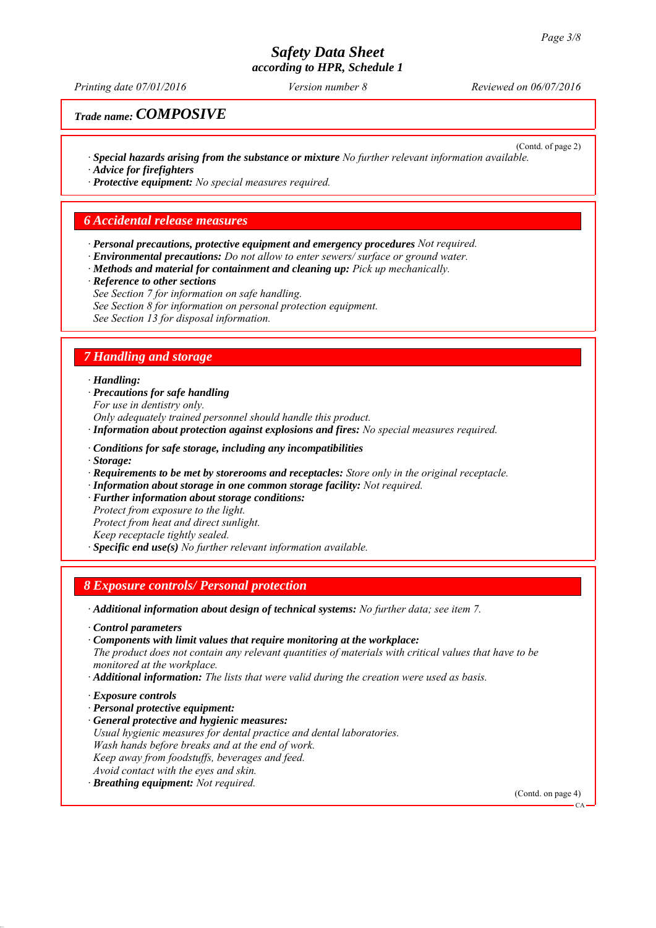*Printing date 07/01/2016 Reviewed on 06/07/2016 Version number 8*

*Trade name: COMPOSIVE*

(Contd. of page 2) *∙ Special hazards arising from the substance or mixture No further relevant information available. ∙ Advice for firefighters*

*∙ Protective equipment: No special measures required.*

#### *6 Accidental release measures*

- *∙ Personal precautions, protective equipment and emergency procedures Not required.*
- *∙ Environmental precautions: Do not allow to enter sewers/ surface or ground water.*
- *∙ Methods and material for containment and cleaning up: Pick up mechanically.*
- *∙ Reference to other sections*
- *See Section 7 for information on safe handling.*
- *See Section 8 for information on personal protection equipment.*

*See Section 13 for disposal information.*

### *7 Handling and storage*

#### *∙ Handling:*

- *∙ Precautions for safe handling*
- *For use in dentistry only.*

*Only adequately trained personnel should handle this product.*

- *∙ Information about protection against explosions and fires: No special measures required.*
- *∙ Conditions for safe storage, including any incompatibilities*
- *∙ Storage:*
- *∙ Requirements to be met by storerooms and receptacles: Store only in the original receptacle.*
- *∙ Information about storage in one common storage facility: Not required.*
- *∙ Further information about storage conditions:*
- *Protect from exposure to the light.*
- *Protect from heat and direct sunlight.*
- *Keep receptacle tightly sealed.*
- *∙ Specific end use(s) No further relevant information available.*

# *8 Exposure controls/ Personal protection*

- *∙ Additional information about design of technical systems: No further data; see item 7.*
- *∙ Control parameters*
- *∙ Components with limit values that require monitoring at the workplace:*

*The product does not contain any relevant quantities of materials with critical values that have to be monitored at the workplace.*

*∙ Additional information: The lists that were valid during the creation were used as basis.*

- *∙ Exposure controls*
- *∙ Personal protective equipment:*
- *∙ General protective and hygienic measures: Usual hygienic measures for dental practice and dental laboratories. Wash hands before breaks and at the end of work. Keep away from foodstuffs, beverages and feed. Avoid contact with the eyes and skin.*
- *∙ Breathing equipment: Not required.*

(Contd. on page 4)

CA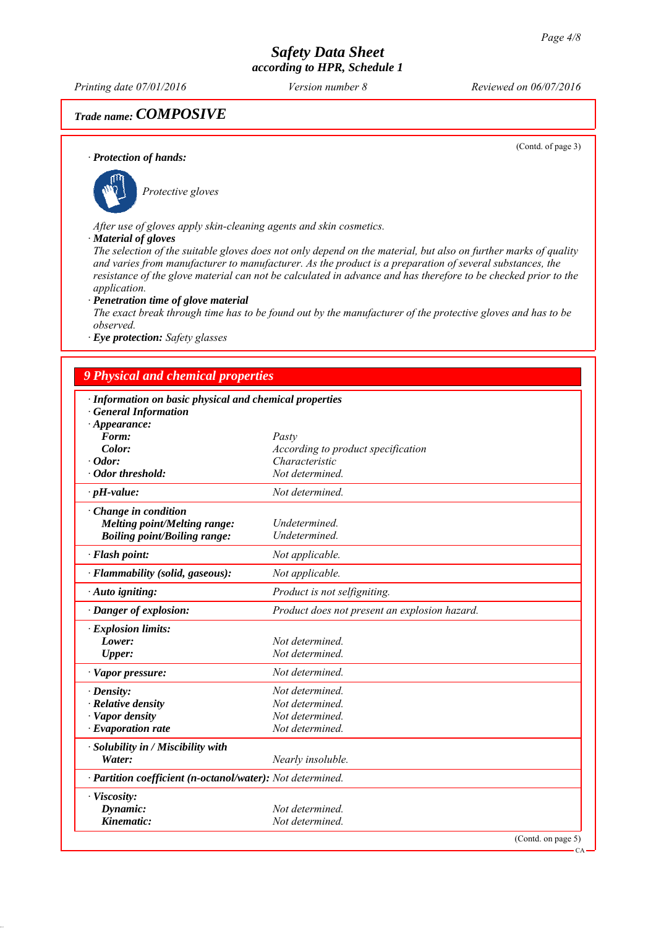*Printing date 07/01/2016 Reviewed on 06/07/2016 Version number 8*

# *Trade name: COMPOSIVE*

(Contd. of page 3)

CA

#### *∙ Protection of hands:*



*After use of gloves apply skin-cleaning agents and skin cosmetics.*

#### *∙ Material of gloves*

*The selection of the suitable gloves does not only depend on the material, but also on further marks of quality and varies from manufacturer to manufacturer. As the product is a preparation of several substances, the resistance of the glove material can not be calculated in advance and has therefore to be checked prior to the application.*

#### *∙ Penetration time of glove material*

*The exact break through time has to be found out by the manufacturer of the protective gloves and has to be observed.*

*∙ Eye protection: Safety glasses*

### *9 Physical and chemical properties*

| · Information on basic physical and chemical properties    |                                                      |                    |
|------------------------------------------------------------|------------------------------------------------------|--------------------|
| <b>General Information</b>                                 |                                                      |                    |
| $\cdot$ Appearance:                                        |                                                      |                    |
| Form:<br>Color:                                            | Pasty                                                |                    |
| $\cdot$ Odor:                                              | According to product specification<br>Characteristic |                    |
| · Odor threshold:                                          | Not determined.                                      |                    |
|                                                            |                                                      |                    |
| $\cdot$ pH-value:                                          | Not determined.                                      |                    |
| Change in condition                                        |                                                      |                    |
| Melting point/Melting range:                               | Undetermined.                                        |                    |
| <b>Boiling point/Boiling range:</b>                        | Undetermined.                                        |                    |
| · Flash point:                                             | Not applicable.                                      |                    |
| · Flammability (solid, gaseous):                           | Not applicable.                                      |                    |
| · Auto igniting:                                           | Product is not selfigniting.                         |                    |
| · Danger of explosion:                                     | Product does not present an explosion hazard.        |                    |
| · Explosion limits:                                        |                                                      |                    |
| Lower:                                                     | Not determined.                                      |                    |
| <b>Upper:</b>                                              | Not determined.                                      |                    |
| $\cdot$ Vapor pressure:                                    | Not determined.                                      |                    |
| $\cdot$ Density:                                           | Not determined.                                      |                    |
| · Relative density                                         | Not determined.                                      |                    |
| · Vapor density                                            | Not determined.                                      |                    |
| $\cdot$ Evaporation rate                                   | Not determined.                                      |                    |
| · Solubility in / Miscibility with                         |                                                      |                    |
| Water:                                                     | Nearly insoluble.                                    |                    |
| · Partition coefficient (n-octanol/water): Not determined. |                                                      |                    |
| · Viscosity:                                               |                                                      |                    |
| Dynamic:                                                   | Not determined.                                      |                    |
| Kinematic:                                                 | Not determined.                                      |                    |
|                                                            |                                                      | (Contd. on page 5) |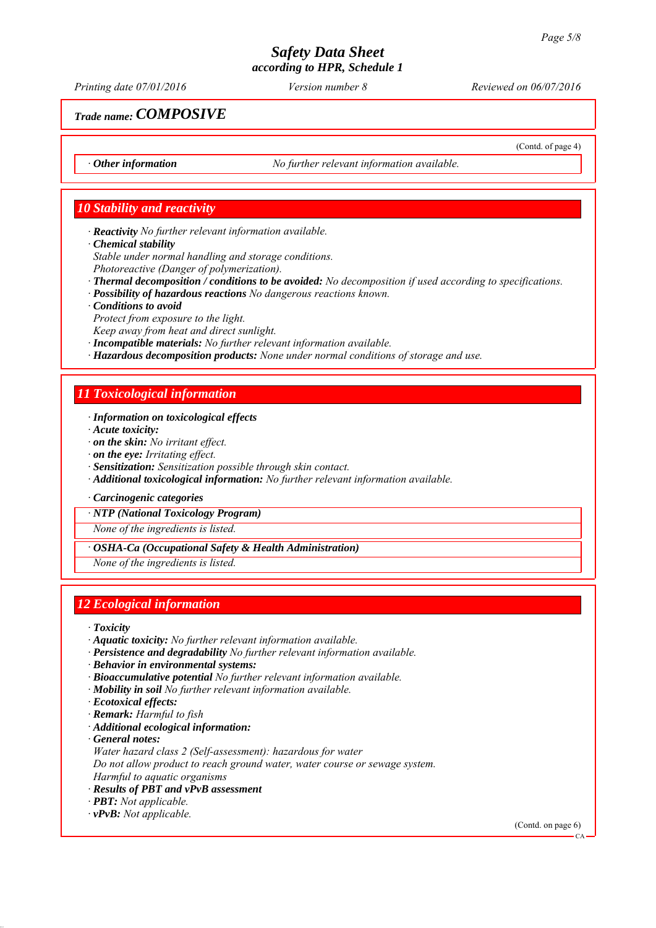*Printing date 07/01/2016 Reviewed on 06/07/2016 Version number 8*

(Contd. of page 4)

*Trade name: COMPOSIVE*

*∙ Other information No further relevant information available.*

### *10 Stability and reactivity*

*∙ Reactivity No further relevant information available.*

*∙ Chemical stability*

*Stable under normal handling and storage conditions.*

- *Photoreactive (Danger of polymerization).*
- *∙ Thermal decomposition / conditions to be avoided: No decomposition if used according to specifications.*
- *∙ Possibility of hazardous reactions No dangerous reactions known.*
- *∙ Conditions to avoid*
- *Protect from exposure to the light.*
- *Keep away from heat and direct sunlight.*
- *∙ Incompatible materials: No further relevant information available.*
- *∙ Hazardous decomposition products: None under normal conditions of storage and use.*

### *11 Toxicological information*

- *∙ Information on toxicological effects*
- *∙ Acute toxicity:*
- *∙ on the skin: No irritant effect.*
- *∙ on the eye: Irritating effect.*
- *∙ Sensitization: Sensitization possible through skin contact.*
- *∙ Additional toxicological information: No further relevant information available.*
- *∙ Carcinogenic categories*

*∙ NTP (National Toxicology Program)*

*None of the ingredients is listed.*

*∙ OSHA-Ca (Occupational Safety & Health Administration)*

*None of the ingredients is listed.*

# *12 Ecological information*

- *∙ Toxicity*
- *∙ Aquatic toxicity: No further relevant information available.*
- *∙ Persistence and degradability No further relevant information available.*
- *∙ Behavior in environmental systems:*
- *∙ Bioaccumulative potential No further relevant information available.*
- *∙ Mobility in soil No further relevant information available.*
- *∙ Ecotoxical effects:*
- *∙ Remark: Harmful to fish*
- *∙ Additional ecological information:*
- *∙ General notes:*
- *Water hazard class 2 (Self-assessment): hazardous for water*

*Do not allow product to reach ground water, water course or sewage system.*

*Harmful to aquatic organisms*

### *∙ Results of PBT and vPvB assessment*

- *∙ PBT: Not applicable.*
- *∙ vPvB: Not applicable.*

(Contd. on page 6)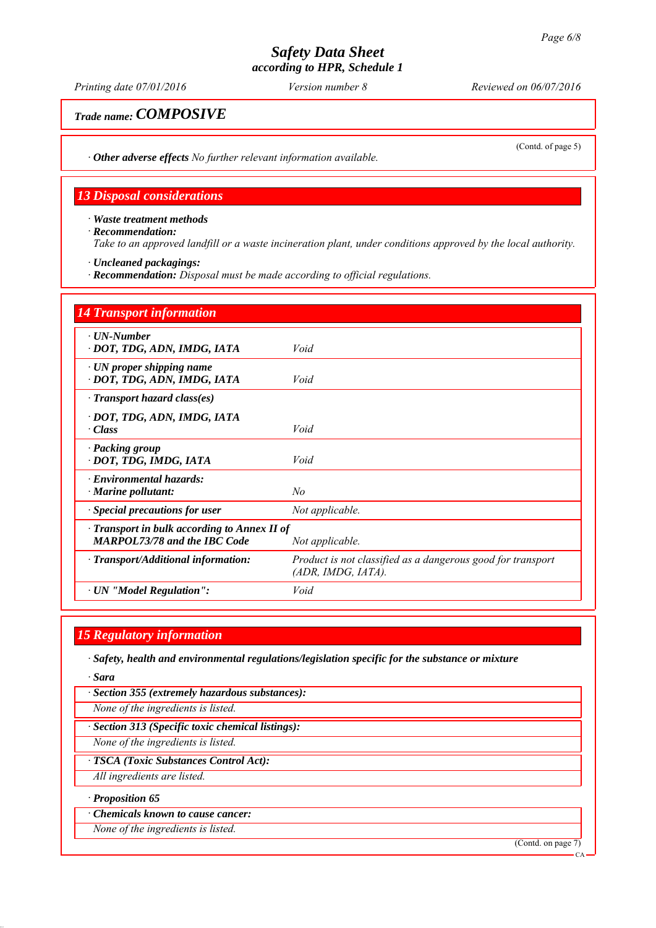*Printing date 07/01/2016 Reviewed on 06/07/2016 Version number 8*

*Trade name: COMPOSIVE*

(Contd. of page 5)

*∙ Other adverse effects No further relevant information available.*

## *13 Disposal considerations*

*∙ Waste treatment methods ∙ Recommendation: Take to an approved landfill or a waste incineration plant, under conditions approved by the local authority.*

*∙ Uncleaned packagings:*

*∙ Recommendation: Disposal must be made according to official regulations.*

| <b>14 Transport information</b>                                                           |                                                                                      |  |
|-------------------------------------------------------------------------------------------|--------------------------------------------------------------------------------------|--|
| $\cdot$ UN-Number<br>· DOT, TDG, ADN, IMDG, IATA                                          | Void                                                                                 |  |
| $\cdot$ UN proper shipping name<br>· DOT, TDG, ADN, IMDG, IATA                            | Void                                                                                 |  |
| $\cdot$ Transport hazard class(es)                                                        |                                                                                      |  |
| · DOT, TDG, ADN, IMDG, IATA<br>· Class                                                    | Void                                                                                 |  |
| · Packing group<br>· DOT, TDG, IMDG, IATA                                                 | Void                                                                                 |  |
| $\cdot$ Environmental hazards:<br>$\cdot$ Marine pollutant:                               | No                                                                                   |  |
| <b>Special precautions for user</b>                                                       | Not applicable.                                                                      |  |
| $\cdot$ Transport in bulk according to Annex II of<br><b>MARPOL73/78 and the IBC Code</b> | Not applicable.                                                                      |  |
| · Transport/Additional information:                                                       | Product is not classified as a dangerous good for transport<br>$(ADR, IMDG, IATA)$ . |  |
| $\cdot$ UN "Model Regulation":                                                            | Void                                                                                 |  |

# *15 Regulatory information*

*∙ Safety, health and environmental regulations/legislation specific for the substance or mixture*

*∙ Sara*

*∙ Section 355 (extremely hazardous substances):*

*None of the ingredients is listed.*

*∙ Section 313 (Specific toxic chemical listings):*

*None of the ingredients is listed.*

*∙ TSCA (Toxic Substances Control Act):*

*All ingredients are listed.*

#### *∙ Proposition 65*

*∙ Chemicals known to cause cancer:*

*None of the ingredients is listed.*

(Contd. on page 7)

CA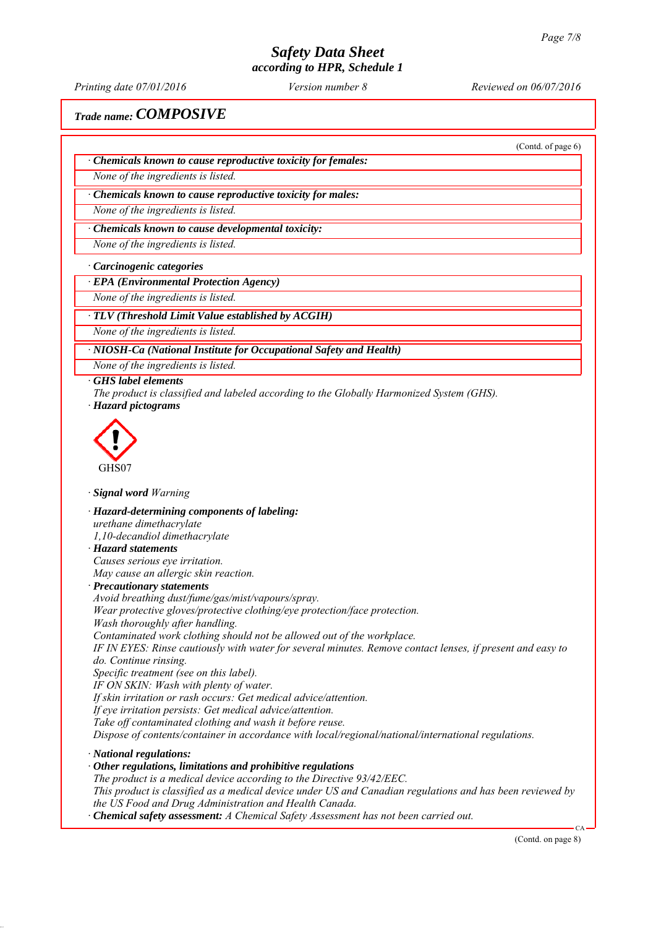*Printing date 07/01/2016 Reviewed on 06/07/2016 Version number 8*

(Contd. of page 6)

*Trade name: COMPOSIVE*

*∙ Chemicals known to cause reproductive toxicity for females:*

*None of the ingredients is listed.*

*∙ Chemicals known to cause reproductive toxicity for males:*

*None of the ingredients is listed.*

*∙ Chemicals known to cause developmental toxicity:*

*None of the ingredients is listed.*

*∙ Carcinogenic categories*

*∙ EPA (Environmental Protection Agency)*

*None of the ingredients is listed.*

*∙ TLV (Threshold Limit Value established by ACGIH)*

*None of the ingredients is listed.*

*∙ NIOSH-Ca (National Institute for Occupational Safety and Health)*

*None of the ingredients is listed.*

*∙ GHS label elements*

*The product is classified and labeled according to the Globally Harmonized System (GHS). ∙ Hazard pictograms*



*∙ Signal word Warning*

*∙ Hazard-determining components of labeling:*

*urethane dimethacrylate*

*1,10-decandiol dimethacrylate*

*∙ Hazard statements*

*Causes serious eye irritation. May cause an allergic skin reaction.*

*∙ Precautionary statements*

*Avoid breathing dust/fume/gas/mist/vapours/spray.*

*Wear protective gloves/protective clothing/eye protection/face protection.*

*Wash thoroughly after handling.*

*Contaminated work clothing should not be allowed out of the workplace.*

*IF IN EYES: Rinse cautiously with water for several minutes. Remove contact lenses, if present and easy to do. Continue rinsing.*

*Specific treatment (see on this label).*

*IF ON SKIN: Wash with plenty of water.*

*If skin irritation or rash occurs: Get medical advice/attention.*

*If eye irritation persists: Get medical advice/attention.*

*Take off contaminated clothing and wash it before reuse.*

*Dispose of contents/container in accordance with local/regional/national/international regulations.*

*∙ National regulations:*

*∙ Other regulations, limitations and prohibitive regulations*

*The product is a medical device according to the Directive 93/42/EEC.*

*This product is classified as a medical device under US and Canadian regulations and has been reviewed by the US Food and Drug Administration and Health Canada.*

*∙ Chemical safety assessment: A Chemical Safety Assessment has not been carried out.*

(Contd. on page 8)

CA